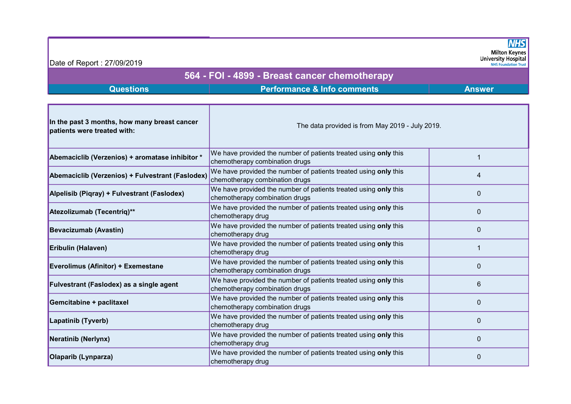**NHS** Milton Keynes<br>University Hospital

## Date of Report : 27/09/2019

## 564 - FOI - 4899 - Breast cancer chemotherapy

## **Questions Comments Performance & Info comments Answer**

| In the past 3 months, how many breast cancer<br>patients were treated with: | The data provided is from May 2019 - July 2019.                                                   |   |
|-----------------------------------------------------------------------------|---------------------------------------------------------------------------------------------------|---|
| Abemaciclib (Verzenios) + aromatase inhibitor *                             | We have provided the number of patients treated using only this<br>chemotherapy combination drugs |   |
| Abemaciclib (Verzenios) + Fulvestrant (Faslodex)                            | We have provided the number of patients treated using only this<br>chemotherapy combination drugs | 4 |
| Alpelisib (Piqray) + Fulvestrant (Faslodex)                                 | We have provided the number of patients treated using only this<br>chemotherapy combination drugs | 0 |
| Atezolizumab (Tecentriq)**                                                  | We have provided the number of patients treated using only this<br>chemotherapy drug              | 0 |
| <b>Bevacizumab (Avastin)</b>                                                | We have provided the number of patients treated using only this<br>chemotherapy drug              | 0 |
| Eribulin (Halaven)                                                          | We have provided the number of patients treated using only this<br>chemotherapy drug              |   |
| <b>Everolimus (Afinitor) + Exemestane</b>                                   | We have provided the number of patients treated using only this<br>chemotherapy combination drugs | 0 |
| Fulvestrant (Faslodex) as a single agent                                    | We have provided the number of patients treated using only this<br>chemotherapy combination drugs | 6 |
| Gemcitabine + paclitaxel                                                    | We have provided the number of patients treated using only this<br>chemotherapy combination drugs | 0 |
| Lapatinib (Tyverb)                                                          | We have provided the number of patients treated using only this<br>chemotherapy drug              | 0 |
| Neratinib (Nerlynx)                                                         | We have provided the number of patients treated using only this<br>chemotherapy drug              | 0 |
| Olaparib (Lynparza)                                                         | We have provided the number of patients treated using only this<br>chemotherapy drug              | 0 |